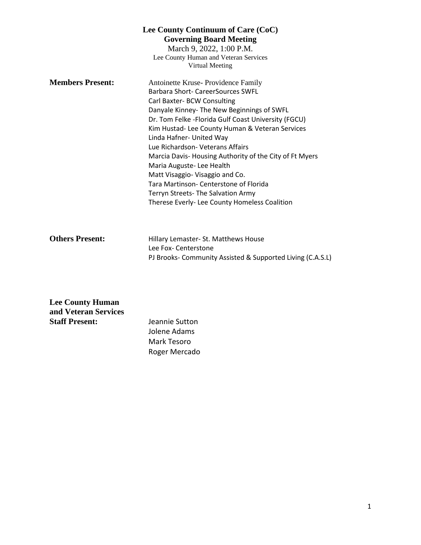| Lee County Continuum of Care (CoC)<br><b>Governing Board Meeting</b><br>March 9, 2022, 1:00 P.M.<br>Lee County Human and Veteran Services<br>Virtual Meeting |                                                                                                                                                                                                                                                                                                                                                                                                                                                                                                                                                                                          |
|--------------------------------------------------------------------------------------------------------------------------------------------------------------|------------------------------------------------------------------------------------------------------------------------------------------------------------------------------------------------------------------------------------------------------------------------------------------------------------------------------------------------------------------------------------------------------------------------------------------------------------------------------------------------------------------------------------------------------------------------------------------|
| <b>Members Present:</b>                                                                                                                                      | Antoinette Kruse-Providence Family<br>Barbara Short- CareerSources SWFL<br>Carl Baxter- BCW Consulting<br>Danyale Kinney- The New Beginnings of SWFL<br>Dr. Tom Felke - Florida Gulf Coast University (FGCU)<br>Kim Hustad- Lee County Human & Veteran Services<br>Linda Hafner- United Way<br>Lue Richardson- Veterans Affairs<br>Marcia Davis-Housing Authority of the City of Ft Myers<br>Maria Auguste-Lee Health<br>Matt Visaggio-Visaggio and Co.<br>Tara Martinson- Centerstone of Florida<br>Terryn Streets- The Salvation Army<br>Therese Everly- Lee County Homeless Coalition |
| <b>Others Present:</b>                                                                                                                                       | Hillary Lemaster- St. Matthews House<br>Lee Fox- Centerstone<br>PJ Brooks- Community Assisted & Supported Living (C.A.S.L)                                                                                                                                                                                                                                                                                                                                                                                                                                                               |

| <b>Lee County Human</b> |                |
|-------------------------|----------------|
| and Veteran Services    |                |
| <b>Staff Present:</b>   | Jeannie Sutton |
|                         | Jolene Adams   |
|                         | Mark Tesoro    |
|                         | Roger Mercado  |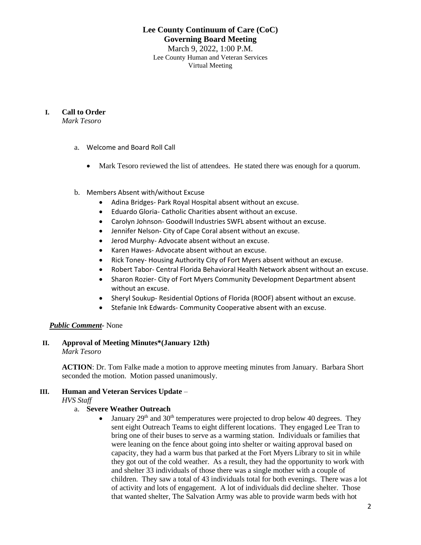#### **Lee County Continuum of Care (CoC) Governing Board Meeting** March 9, 2022, 1:00 P.M. Lee County Human and Veteran Services

Virtual Meeting

#### **I. Call to Order**

*Mark Tesoro*

- a. Welcome and Board Roll Call
	- Mark Tesoro reviewed the list of attendees. He stated there was enough for a quorum.
- b. Members Absent with/without Excuse
	- Adina Bridges- Park Royal Hospital absent without an excuse.
	- Eduardo Gloria- Catholic Charities absent without an excuse.
	- Carolyn Johnson- Goodwill Industries SWFL absent without an excuse.
	- Jennifer Nelson- City of Cape Coral absent without an excuse.
	- Jerod Murphy- Advocate absent without an excuse.
	- Karen Hawes- Advocate absent without an excuse.
	- Rick Toney- Housing Authority City of Fort Myers absent without an excuse.
	- Robert Tabor- Central Florida Behavioral Health Network absent without an excuse.
	- Sharon Rozier- City of Fort Myers Community Development Department absent without an excuse.
	- Sheryl Soukup- Residential Options of Florida (ROOF) absent without an excuse.
	- Stefanie Ink Edwards- Community Cooperative absent with an excuse.

## *Public Comment-* None

**II. Approval of Meeting Minutes\*(January 12th)** *Mark Tesoro*

> **ACTION**: Dr. Tom Falke made a motion to approve meeting minutes from January. Barbara Short seconded the motion. Motion passed unanimously.

## **III. Human and Veteran Services Update** –

*HVS Staff*

#### a. **Severe Weather Outreach**

• January  $29<sup>th</sup>$  and  $30<sup>th</sup>$  temperatures were projected to drop below 40 degrees. They sent eight Outreach Teams to eight different locations. They engaged Lee Tran to bring one of their buses to serve as a warming station. Individuals or families that were leaning on the fence about going into shelter or waiting approval based on capacity, they had a warm bus that parked at the Fort Myers Library to sit in while they got out of the cold weather. As a result, they had the opportunity to work with and shelter 33 individuals of those there was a single mother with a couple of children. They saw a total of 43 individuals total for both evenings. There was a lot of activity and lots of engagement. A lot of individuals did decline shelter. Those that wanted shelter, The Salvation Army was able to provide warm beds with hot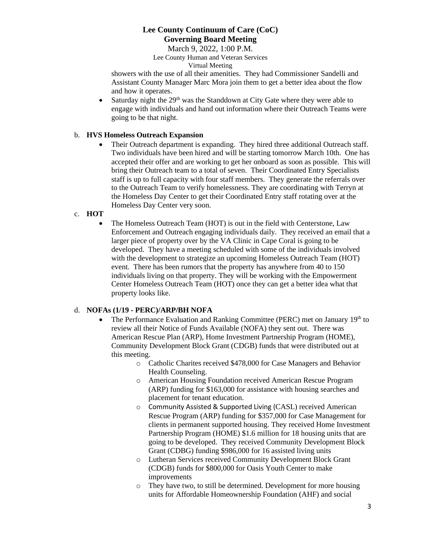March 9, 2022, 1:00 P.M. Lee County Human and Veteran Services Virtual Meeting

showers with the use of all their amenities. They had Commissioner Sandelli and Assistant County Manager Marc Mora join them to get a better idea about the flow and how it operates.

• Saturday night the  $29<sup>th</sup>$  was the Standdown at City Gate where they were able to engage with individuals and hand out information where their Outreach Teams were going to be that night.

## b. **HVS Homeless Outreach Expansion**

Their Outreach department is expanding. They hired three additional Outreach staff. Two individuals have been hired and will be starting tomorrow March 10th. One has accepted their offer and are working to get her onboard as soon as possible. This will bring their Outreach team to a total of seven. Their Coordinated Entry Specialists staff is up to full capacity with four staff members. They generate the referrals over to the Outreach Team to verify homelessness. They are coordinating with Terryn at the Homeless Day Center to get their Coordinated Entry staff rotating over at the Homeless Day Center very soon.

## c. **HOT**

• The Homeless Outreach Team (HOT) is out in the field with Centerstone, Law Enforcement and Outreach engaging individuals daily. They received an email that a larger piece of property over by the VA Clinic in Cape Coral is going to be developed. They have a meeting scheduled with some of the individuals involved with the development to strategize an upcoming Homeless Outreach Team (HOT) event. There has been rumors that the property has anywhere from 40 to 150 individuals living on that property. They will be working with the Empowerment Center Homeless Outreach Team (HOT) once they can get a better idea what that property looks like.

## d. **NOFAs (1/19 - PERC)/ARP/BH NOFA**

- The Performance Evaluation and Ranking Committee (PERC) met on January 19<sup>th</sup> to review all their Notice of Funds Available (NOFA) they sent out. There was American Rescue Plan (ARP), Home Investment Partnership Program (HOME), Community Development Block Grant (CDGB) funds that were distributed out at this meeting.
	- o Catholic Charites received \$478,000 for Case Managers and Behavior Health Counseling.
	- o American Housing Foundation received American Rescue Program (ARP) funding for \$163,000 for assistance with housing searches and placement for tenant education.
	- o Community Assisted & Supported Living (CASL) received American Rescue Program (ARP) funding for \$357,000 for Case Management for clients in permanent supported housing. They received Home Investment Partnership Program (HOME) \$1.6 million for 18 housing units that are going to be developed. They received Community Development Block Grant (CDBG) funding \$986,000 for 16 assisted living units
	- o Lutheran Services received Community Development Block Grant (CDGB) funds for \$800,000 for Oasis Youth Center to make improvements
	- o They have two, to still be determined. Development for more housing units for Affordable Homeownership Foundation (AHF) and social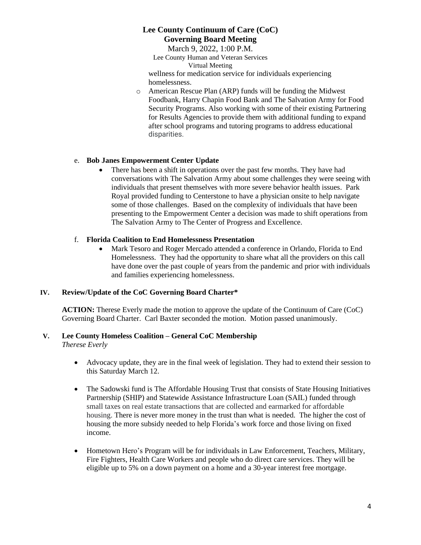March 9, 2022, 1:00 P.M. Lee County Human and Veteran Services

Virtual Meeting

wellness for medication service for individuals experiencing homelessness.

o American Rescue Plan (ARP) funds will be funding the Midwest Foodbank, Harry Chapin Food Bank and The Salvation Army for Food Security Programs. Also working with some of their existing Partnering for Results Agencies to provide them with additional funding to expand after school programs and tutoring programs to address educational disparities.

## e. **Bob Janes Empowerment Center Update**

• There has been a shift in operations over the past few months. They have had conversations with The Salvation Army about some challenges they were seeing with individuals that present themselves with more severe behavior health issues. Park Royal provided funding to Centerstone to have a physician onsite to help navigate some of those challenges. Based on the complexity of individuals that have been presenting to the Empowerment Center a decision was made to shift operations from The Salvation Army to The Center of Progress and Excellence.

## f. **Florida Coalition to End Homelessness Presentation**

• Mark Tesoro and Roger Mercado attended a conference in Orlando, Florida to End Homelessness. They had the opportunity to share what all the providers on this call have done over the past couple of years from the pandemic and prior with individuals and families experiencing homelessness.

## **IV. Review/Update of the CoC Governing Board Charter\***

**ACTION:** Therese Everly made the motion to approve the update of the Continuum of Care (CoC) Governing Board Charter. Carl Baxter seconded the motion. Motion passed unanimously.

# **V. Lee County Homeless Coalition – General CoC Membership**

*Therese Everly*

- Advocacy update, they are in the final week of legislation. They had to extend their session to this Saturday March 12.
- The Sadowski fund is The Affordable Housing Trust that consists of State Housing Initiatives Partnership (SHIP) and Statewide Assistance Infrastructure Loan (SAIL) funded through small taxes on real estate transactions that are collected and earmarked for affordable housing. There is never more money in the trust than what is needed. The higher the cost of housing the more subsidy needed to help Florida's work force and those living on fixed income.
- Hometown Hero's Program will be for individuals in Law Enforcement, Teachers, Military, Fire Fighters, Health Care Workers and people who do direct care services. They will be eligible up to 5% on a down payment on a home and a 30-year interest free mortgage.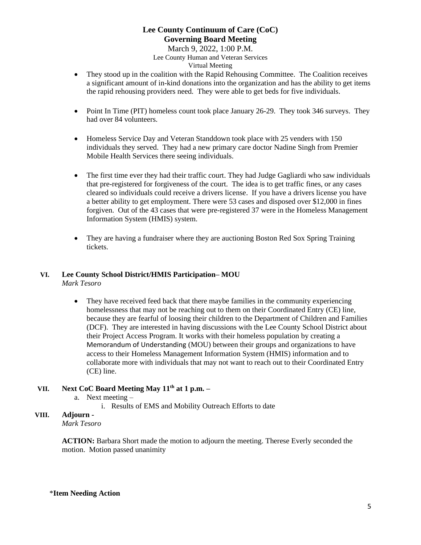March 9, 2022, 1:00 P.M. Lee County Human and Veteran Services Virtual Meeting

- They stood up in the coalition with the Rapid Rehousing Committee. The Coalition receives a significant amount of in-kind donations into the organization and has the ability to get items the rapid rehousing providers need. They were able to get beds for five individuals.
- Point In Time (PIT) homeless count took place January 26-29. They took 346 surveys. They had over 84 volunteers.
- Homeless Service Day and Veteran Standdown took place with 25 venders with 150 individuals they served. They had a new primary care doctor Nadine Singh from Premier Mobile Health Services there seeing individuals.
- The first time ever they had their traffic court. They had Judge Gagliardi who saw individuals that pre-registered for forgiveness of the court. The idea is to get traffic fines, or any cases cleared so individuals could receive a drivers license. If you have a drivers license you have a better ability to get employment. There were 53 cases and disposed over \$12,000 in fines forgiven. Out of the 43 cases that were pre-registered 37 were in the Homeless Management Information System (HMIS) system.
- They are having a fundraiser where they are auctioning Boston Red Sox Spring Training tickets.

#### **VI. Lee County School District/HMIS Participation– MOU**  *Mark Tesoro*

• They have received feed back that there maybe families in the community experiencing homelessness that may not be reaching out to them on their Coordinated Entry (CE) line, because they are fearful of loosing their children to the Department of Children and Families (DCF). They are interested in having discussions with the Lee County School District about their Project Access Program. It works with their homeless population by creating a Memorandum of Understanding (MOU) between their groups and organizations to have access to their Homeless Management Information System (HMIS) information and to collaborate more with individuals that may not want to reach out to their Coordinated Entry (CE) line.

## **VII. Next CoC Board Meeting May 11th at 1 p.m. –**

- a. Next meeting
	- i. Results of EMS and Mobility Outreach Efforts to date

#### **VIII. Adjourn -** *Mark Tesoro*

**ACTION:** Barbara Short made the motion to adjourn the meeting. Therese Everly seconded the motion. Motion passed unanimity